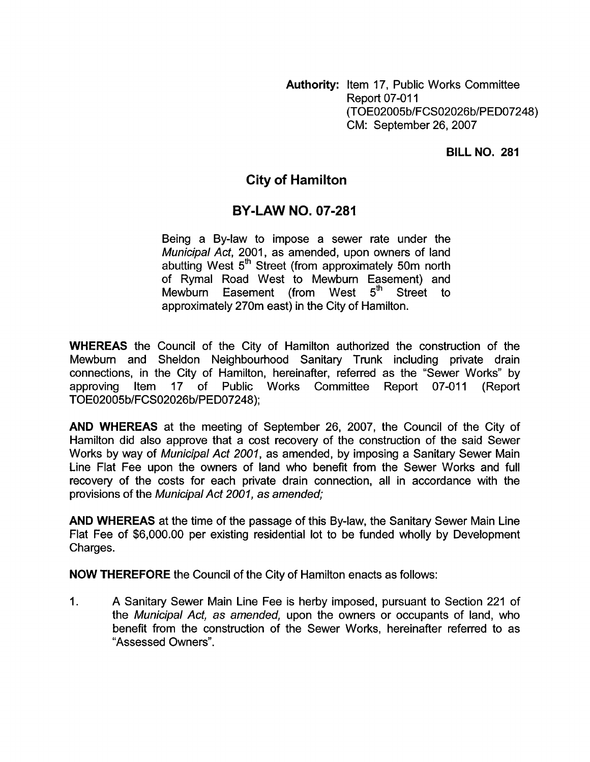**Authority:** Item 17, Public Works Committee **Report 07-011** (TOE02005b/FCS02026 b/PED07248) CM: September 26,2007

## **BILLNO. 281**

## **City of Hamilton**

## **BY-LAW NO. 07-281**

Being a By-law to impose a sewer rate under the *Municipal Act, 2001, as amended, upon owners of land* abutting West 5<sup>th</sup> Street (from approximately 50m north of Rymal Road West to Mewburn Easement) and<br>Mewburn Easement (from West 5<sup>th</sup> Street to Mewburn Easement (from West 5<sup>th</sup> Street to approximately 270m east) in the City of Hamilton.

**WHEREAS** the Council of the City of Hamilton authorized the construction of the Mewburn and Sheldon Neighbourhood Sanitary Trunk including private drain connections, in the City of Hamilton, hereinafter, referred as the "Sewer Works" by approving Item 17 of Public Works Committee Report 07-011 (Report TOE02005b/FCS02026b/PED07248);

**AND WHEREAS** at the meeting of September 26, 2007, the Council of the City of Hamilton did also approve that a cost recovery of the construction of the said Sewer Works by way of *Municipal Act 2001,* as amended, by imposing a Sanitary Sewer Main Line Flat Fee upon the owners of land who benefit from the Sewer Works and full recovery of the costs for each private drain connection, all in accordance with the provisions of the *Municipal Act 2001, as amended;* 

**AND WHEREAS** at the time of the passage of this By-law, the Sanitary Sewer Main Line Flat Fee of \$6,000.00 per existing residential lot to be funded wholly by Development Charges.

**NOW THEREFORE** the Council of the City of Hamilton enacts as follows:

1. A Sanitary Sewer Main Line Fee is herby imposed, pursuant to Section 221 of the *Municipal Act, as amended,* upon the owners or occupants of land, who benefit from the construction of the Sewer Works, hereinafter referred to as "Assessed Owners".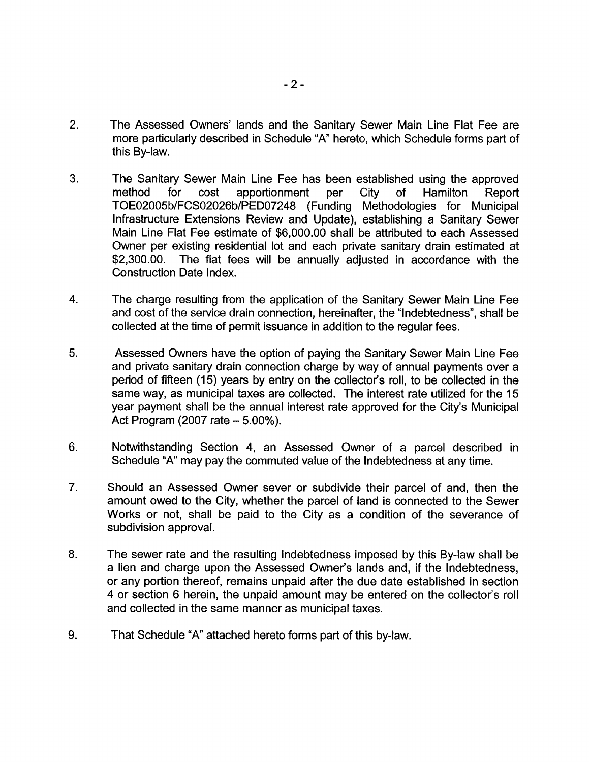- 2. The Assessed Owners' lands and the Sanitary Sewer Main Line Flat Fee are more particularly described in Schedule "A" hereto, which Schedule forms part of this By-law.
- 3. The Sanitary Sewer Main Line Fee has been established using the approved method for cost apportionment per City of Hamilton Report TOE02005b/FCS02026b/PEDO7248 (Funding Methodologies for Municipal Infrastructure Extensions Review and Update), establishing a Sanitary Sewer Main Line Flat Fee estimate of \$6,000.00 shall be attributed to each Assessed Owner per existing residential lot and each private sanitary drain estimated at \$2,300.00. The flat fees will be annually adjusted in accordance with the Construction Date Index.
- **4.**  The charge resulting from the application of the Sanitary Sewer Main Line Fee and cost of the service drain connection, hereinafter, the "Indebtedness", shall be collected at the time of permit issuance in addition to the regular fees.
- **5.**  Assessed Owners have the option of paying the Sanitary Sewer Main Line Fee and private sanitary drain connection charge by way of annual payments over a period of fifteen (15) years by entry on the collector's roll, to be collected in the same way, as municipal taxes are collected. The interest rate utilized for the 15 year payment shall be the annual interest rate approved for the City's Municipal Act Program (2007 rate - 5.00%).
- **6.**  Notwithstanding Section **4,** an Assessed Owner of a parcel described in Schedule "A" may pay the commuted value of the Indebtedness at any time.
- 7. Should an Assessed Owner sever or subdivide their parcel of and, then the amount owed to the City, whether the parcel of land is connected to the Sewer Works or not, shall be paid to the City as a condition of the severance of subdivision approval.
- 8. The sewer rate and the resulting Indebtedness imposed by this By-law shall be a lien and charge upon the Assessed Owner's lands and, if the Indebtedness, or any portion thereof, remains unpaid after the due date established in section **4** or section 6 herein, the unpaid amount may be entered on the collector's roll and collected in the same manner as municipal taxes.
- 9. That Schedule "A" attached hereto forms part of this by-law.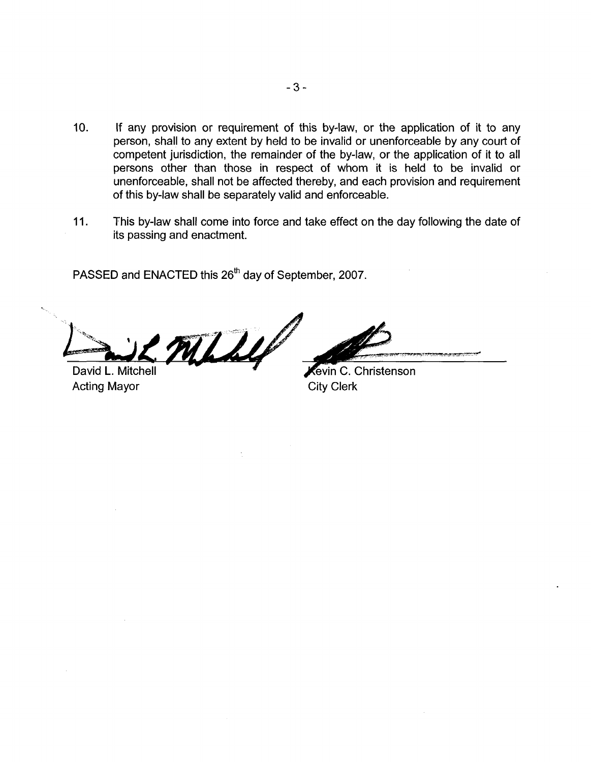- 10. If any provision or requirement of this by-law, or the application of it to any person, shall to any extent by held to be invalid or unenforceable by any court of competent jurisdiction, the remainder *of* the by-law, or the application of it to all persons other than those in respect of whom it is held to be invalid or unenforceable, shall not be affected thereby, and each provision and requirement of this by-law shall be separately valid and enforceable.
- **11.** This by-law shall come into force and take effect on the day following the date of its passing and enactment.

PASSED and ENACTED this **26'h** day of September, 2007.

David L. Mitchell Contributed C. Christenson

Acting Mayor City Clerk

**r.**